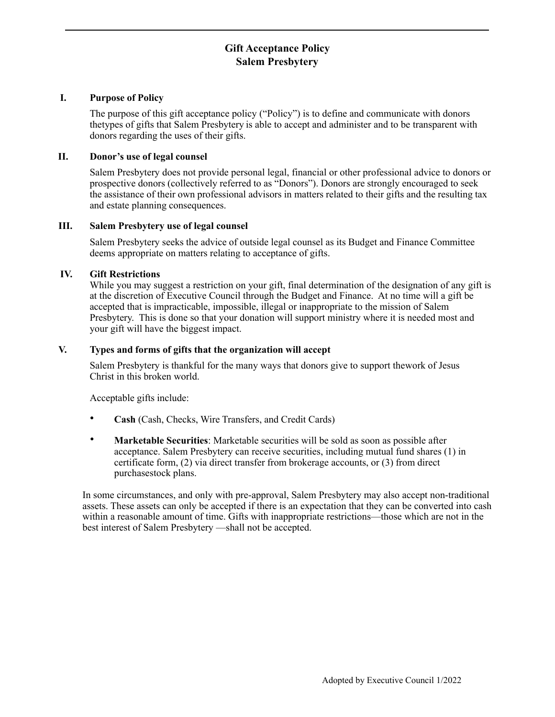# **Gift Acceptance Policy Salem Presbytery**

# **I. Purpose of Policy**

The purpose of this gift acceptance policy ("Policy") is to define and communicate with donors thetypes of gifts that Salem Presbytery is able to accept and administer and to be transparent with donors regarding the uses of their gifts.

# **II. Donor's use of legal counsel**

Salem Presbytery does not provide personal legal, financial or other professional advice to donors or prospective donors (collectively referred to as "Donors"). Donors are strongly encouraged to seek the assistance of their own professional advisors in matters related to their gifts and the resulting tax and estate planning consequences.

## **III. Salem Presbytery use of legal counsel**

Salem Presbytery seeks the advice of outside legal counsel as its Budget and Finance Committee deems appropriate on matters relating to acceptance of gifts.

# **IV. Gift Restrictions**

While you may suggest a restriction on your gift, final determination of the designation of any gift is at the discretion of Executive Council through the Budget and Finance. At no time will a gift be accepted that is impracticable, impossible, illegal or inappropriate to the mission of Salem Presbytery. This is done so that your donation will support ministry where it is needed most and your gift will have the biggest impact.

## **V. Types and forms of gifts that the organization will accept**

Salem Presbytery is thankful for the many ways that donors give to support thework of Jesus Christ in this broken world.

Acceptable gifts include:

- **Cash** (Cash, Checks, Wire Transfers, and Credit Cards)
- **Marketable Securities**: Marketable securities will be sold as soon as possible after acceptance. Salem Presbytery can receive securities, including mutual fund shares (1) in certificate form, (2) via direct transfer from brokerage accounts, or (3) from direct purchasestock plans.

In some circumstances, and only with pre-approval, Salem Presbytery may also accept non-traditional assets. These assets can only be accepted if there is an expectation that they can be converted into cash within a reasonable amount of time. Gifts with inappropriate restrictions—those which are not in the best interest of Salem Presbytery —shall not be accepted.